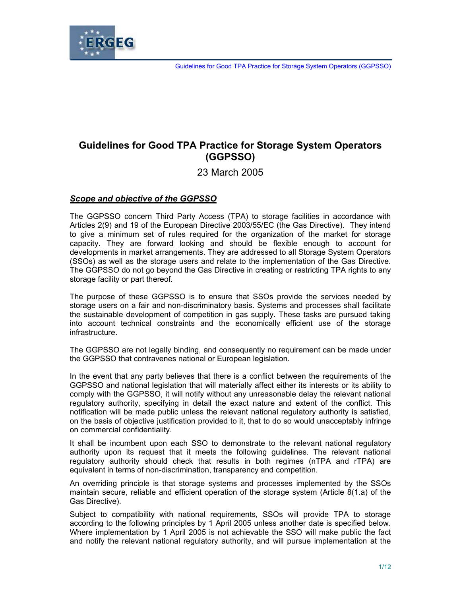

# **Guidelines for Good TPA Practice for Storage System Operators (GGPSSO)**

23 March 2005

## *Scope and objective of the GGPSSO*

The GGPSSO concern Third Party Access (TPA) to storage facilities in accordance with Articles 2(9) and 19 of the European Directive 2003/55/EC (the Gas Directive). They intend to give a minimum set of rules required for the organization of the market for storage capacity. They are forward looking and should be flexible enough to account for developments in market arrangements. They are addressed to all Storage System Operators (SSOs) as well as the storage users and relate to the implementation of the Gas Directive. The GGPSSO do not go beyond the Gas Directive in creating or restricting TPA rights to any storage facility or part thereof.

The purpose of these GGPSSO is to ensure that SSOs provide the services needed by storage users on a fair and non-discriminatory basis. Systems and processes shall facilitate the sustainable development of competition in gas supply. These tasks are pursued taking into account technical constraints and the economically efficient use of the storage infrastructure.

The GGPSSO are not legally binding, and consequently no requirement can be made under the GGPSSO that contravenes national or European legislation.

In the event that any party believes that there is a conflict between the requirements of the GGPSSO and national legislation that will materially affect either its interests or its ability to comply with the GGPSSO, it will notify without any unreasonable delay the relevant national regulatory authority, specifying in detail the exact nature and extent of the conflict. This notification will be made public unless the relevant national regulatory authority is satisfied, on the basis of objective justification provided to it, that to do so would unacceptably infringe on commercial confidentiality.

It shall be incumbent upon each SSO to demonstrate to the relevant national regulatory authority upon its request that it meets the following guidelines. The relevant national regulatory authority should check that results in both regimes (nTPA and rTPA) are equivalent in terms of non-discrimination, transparency and competition.

An overriding principle is that storage systems and processes implemented by the SSOs maintain secure, reliable and efficient operation of the storage system (Article 8(1.a) of the Gas Directive).

Subject to compatibility with national requirements, SSOs will provide TPA to storage according to the following principles by 1 April 2005 unless another date is specified below. Where implementation by 1 April 2005 is not achievable the SSO will make public the fact and notify the relevant national regulatory authority, and will pursue implementation at the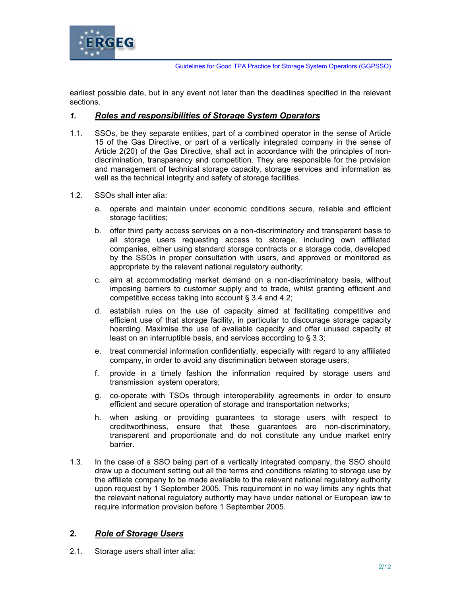

earliest possible date, but in any event not later than the deadlines specified in the relevant sections.

#### *1. Roles and responsibilities of Storage System Operators*

- 1.1. SSOs, be they separate entities, part of a combined operator in the sense of Article 15 of the Gas Directive, or part of a vertically integrated company in the sense of Article 2(20) of the Gas Directive, shall act in accordance with the principles of nondiscrimination, transparency and competition. They are responsible for the provision and management of technical storage capacity, storage services and information as well as the technical integrity and safety of storage facilities.
- 1.2. SSOs shall inter alia:
	- a. operate and maintain under economic conditions secure, reliable and efficient storage facilities;
	- b. offer third party access services on a non-discriminatory and transparent basis to all storage users requesting access to storage, including own affiliated companies, either using standard storage contracts or a storage code, developed by the SSOs in proper consultation with users, and approved or monitored as appropriate by the relevant national regulatory authority;
	- c. aim at accommodating market demand on a non-discriminatory basis, without imposing barriers to customer supply and to trade, whilst granting efficient and competitive access taking into account § 3.4 and 4.2;
	- d. establish rules on the use of capacity aimed at facilitating competitive and efficient use of that storage facility, in particular to discourage storage capacity hoarding. Maximise the use of available capacity and offer unused capacity at least on an interruptible basis, and services according to § 3.3;
	- e. treat commercial information confidentially, especially with regard to any affiliated company, in order to avoid any discrimination between storage users;
	- f. provide in a timely fashion the information required by storage users and transmission system operators;
	- g. co-operate with TSOs through interoperability agreements in order to ensure efficient and secure operation of storage and transportation networks;
	- h. when asking or providing guarantees to storage users with respect to creditworthiness, ensure that these guarantees are non-discriminatory, transparent and proportionate and do not constitute any undue market entry barrier.
- 1.3. In the case of a SSO being part of a vertically integrated company, the SSO should draw up a document setting out all the terms and conditions relating to storage use by the affiliate company to be made available to the relevant national regulatory authority upon request by 1 September 2005. This requirement in no way limits any rights that the relevant national regulatory authority may have under national or European law to require information provision before 1 September 2005.

# **2.** *Role of Storage Users*

2.1. Storage users shall inter alia: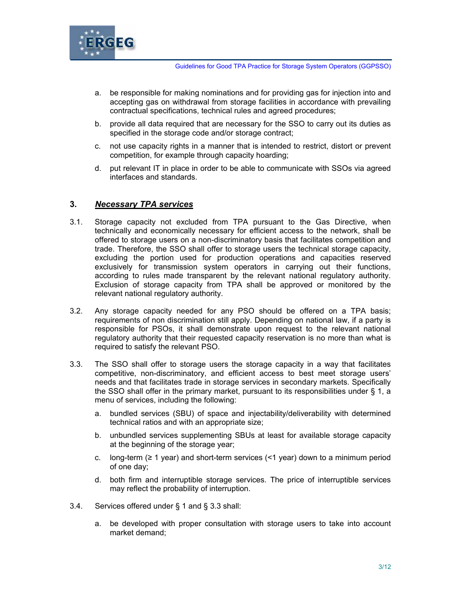

- a. be responsible for making nominations and for providing gas for injection into and accepting gas on withdrawal from storage facilities in accordance with prevailing contractual specifications, technical rules and agreed procedures;
- b. provide all data required that are necessary for the SSO to carry out its duties as specified in the storage code and/or storage contract;
- c. not use capacity rights in a manner that is intended to restrict, distort or prevent competition, for example through capacity hoarding;
- d. put relevant IT in place in order to be able to communicate with SSOs via agreed interfaces and standards.

# **3.** *Necessary TPA services*

- 3.1. Storage capacity not excluded from TPA pursuant to the Gas Directive, when technically and economically necessary for efficient access to the network, shall be offered to storage users on a non-discriminatory basis that facilitates competition and trade. Therefore, the SSO shall offer to storage users the technical storage capacity, excluding the portion used for production operations and capacities reserved exclusively for transmission system operators in carrying out their functions, according to rules made transparent by the relevant national regulatory authority. Exclusion of storage capacity from TPA shall be approved or monitored by the relevant national regulatory authority.
- 3.2. Any storage capacity needed for any PSO should be offered on a TPA basis; requirements of non discrimination still apply. Depending on national law, if a party is responsible for PSOs, it shall demonstrate upon request to the relevant national regulatory authority that their requested capacity reservation is no more than what is required to satisfy the relevant PSO.
- 3.3. The SSO shall offer to storage users the storage capacity in a way that facilitates competitive, non-discriminatory, and efficient access to best meet storage users' needs and that facilitates trade in storage services in secondary markets. Specifically the SSO shall offer in the primary market, pursuant to its responsibilities under § 1, a menu of services, including the following:
	- a. bundled services (SBU) of space and injectability/deliverability with determined technical ratios and with an appropriate size;
	- b. unbundled services supplementing SBUs at least for available storage capacity at the beginning of the storage year;
	- c. long-term ( $\geq 1$  year) and short-term services (<1 year) down to a minimum period of one day;
	- d. both firm and interruptible storage services. The price of interruptible services may reflect the probability of interruption.
- 3.4. Services offered under § 1 and § 3.3 shall:
	- a. be developed with proper consultation with storage users to take into account market demand;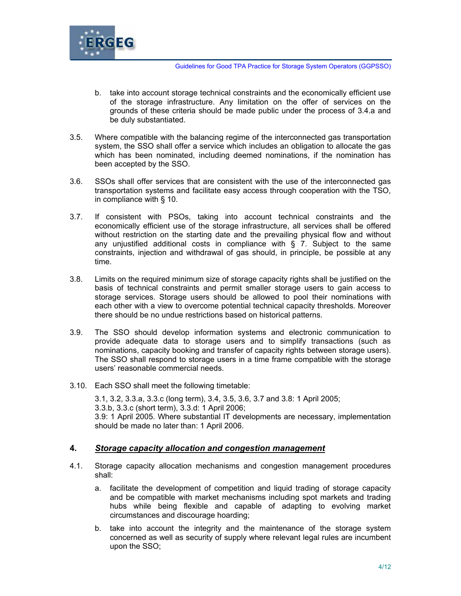

- b. take into account storage technical constraints and the economically efficient use of the storage infrastructure. Any limitation on the offer of services on the grounds of these criteria should be made public under the process of 3.4.a and be duly substantiated.
- 3.5. Where compatible with the balancing regime of the interconnected gas transportation system, the SSO shall offer a service which includes an obligation to allocate the gas which has been nominated, including deemed nominations, if the nomination has been accepted by the SSO.
- 3.6. SSOs shall offer services that are consistent with the use of the interconnected gas transportation systems and facilitate easy access through cooperation with the TSO, in compliance with § 10.
- 3.7. If consistent with PSOs, taking into account technical constraints and the economically efficient use of the storage infrastructure, all services shall be offered without restriction on the starting date and the prevailing physical flow and without any unjustified additional costs in compliance with  $\S$  7. Subject to the same constraints, injection and withdrawal of gas should, in principle, be possible at any time.
- 3.8. Limits on the required minimum size of storage capacity rights shall be justified on the basis of technical constraints and permit smaller storage users to gain access to storage services. Storage users should be allowed to pool their nominations with each other with a view to overcome potential technical capacity thresholds. Moreover there should be no undue restrictions based on historical patterns.
- 3.9. The SSO should develop information systems and electronic communication to provide adequate data to storage users and to simplify transactions (such as nominations, capacity booking and transfer of capacity rights between storage users). The SSO shall respond to storage users in a time frame compatible with the storage users' reasonable commercial needs.
- 3.10. Each SSO shall meet the following timetable:

3.1, 3.2, 3.3.a, 3.3.c (long term), 3.4, 3.5, 3.6, 3.7 and 3.8: 1 April 2005; 3.3.b, 3.3.c (short term), 3.3.d: 1 April 2006; 3.9: 1 April 2005. Where substantial IT developments are necessary, implementation should be made no later than: 1 April 2006.

#### **4.** *Storage capacity allocation and congestion management*

- 4.1. Storage capacity allocation mechanisms and congestion management procedures shall:
	- a. facilitate the development of competition and liquid trading of storage capacity and be compatible with market mechanisms including spot markets and trading hubs while being flexible and capable of adapting to evolving market circumstances and discourage hoarding;
	- b. take into account the integrity and the maintenance of the storage system concerned as well as security of supply where relevant legal rules are incumbent upon the SSO;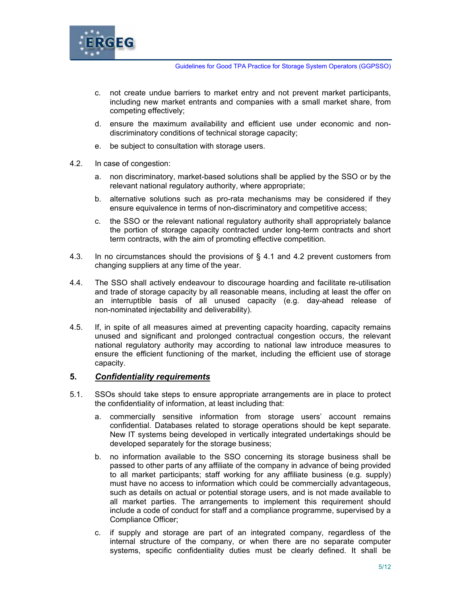

- c. not create undue barriers to market entry and not prevent market participants, including new market entrants and companies with a small market share, from competing effectively;
- d. ensure the maximum availability and efficient use under economic and nondiscriminatory conditions of technical storage capacity;
- e. be subject to consultation with storage users.
- 4.2. In case of congestion:
	- a. non discriminatory, market-based solutions shall be applied by the SSO or by the relevant national regulatory authority, where appropriate;
	- b. alternative solutions such as pro-rata mechanisms may be considered if they ensure equivalence in terms of non-discriminatory and competitive access;
	- c. the SSO or the relevant national regulatory authority shall appropriately balance the portion of storage capacity contracted under long-term contracts and short term contracts, with the aim of promoting effective competition.
- 4.3. In no circumstances should the provisions of § 4.1 and 4.2 prevent customers from changing suppliers at any time of the year.
- 4.4. The SSO shall actively endeavour to discourage hoarding and facilitate re-utilisation and trade of storage capacity by all reasonable means, including at least the offer on an interruptible basis of all unused capacity (e.g. day-ahead release of non-nominated injectability and deliverability).
- 4.5. If, in spite of all measures aimed at preventing capacity hoarding, capacity remains unused and significant and prolonged contractual congestion occurs, the relevant national regulatory authority may according to national law introduce measures to ensure the efficient functioning of the market, including the efficient use of storage capacity.

#### **5.** *Confidentiality requirements*

- 5.1. SSOs should take steps to ensure appropriate arrangements are in place to protect the confidentiality of information, at least including that:
	- a. commercially sensitive information from storage users' account remains confidential. Databases related to storage operations should be kept separate. New IT systems being developed in vertically integrated undertakings should be developed separately for the storage business;
	- b. no information available to the SSO concerning its storage business shall be passed to other parts of any affiliate of the company in advance of being provided to all market participants; staff working for any affiliate business (e.g. supply) must have no access to information which could be commercially advantageous, such as details on actual or potential storage users, and is not made available to all market parties. The arrangements to implement this requirement should include a code of conduct for staff and a compliance programme, supervised by a Compliance Officer;
	- c. if supply and storage are part of an integrated company, regardless of the internal structure of the company, or when there are no separate computer systems, specific confidentiality duties must be clearly defined. It shall be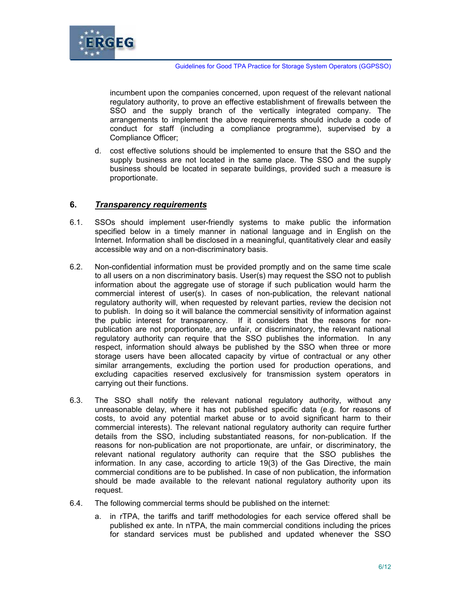

incumbent upon the companies concerned, upon request of the relevant national regulatory authority, to prove an effective establishment of firewalls between the SSO and the supply branch of the vertically integrated company. The arrangements to implement the above requirements should include a code of conduct for staff (including a compliance programme), supervised by a Compliance Officer;

d. cost effective solutions should be implemented to ensure that the SSO and the supply business are not located in the same place. The SSO and the supply business should be located in separate buildings, provided such a measure is proportionate.

## **6.** *Transparency requirements*

- 6.1. SSOs should implement user-friendly systems to make public the information specified below in a timely manner in national language and in English on the Internet. Information shall be disclosed in a meaningful, quantitatively clear and easily accessible way and on a non-discriminatory basis.
- 6.2. Non-confidential information must be provided promptly and on the same time scale to all users on a non discriminatory basis. User(s) may request the SSO not to publish information about the aggregate use of storage if such publication would harm the commercial interest of user(s). In cases of non-publication, the relevant national regulatory authority will, when requested by relevant parties, review the decision not to publish. In doing so it will balance the commercial sensitivity of information against the public interest for transparency. If it considers that the reasons for nonpublication are not proportionate, are unfair, or discriminatory, the relevant national regulatory authority can require that the SSO publishes the information. In any respect, information should always be published by the SSO when three or more storage users have been allocated capacity by virtue of contractual or any other similar arrangements, excluding the portion used for production operations, and excluding capacities reserved exclusively for transmission system operators in carrying out their functions.
- 6.3. The SSO shall notify the relevant national regulatory authority, without any unreasonable delay, where it has not published specific data (e.g. for reasons of costs, to avoid any potential market abuse or to avoid significant harm to their commercial interests). The relevant national regulatory authority can require further details from the SSO, including substantiated reasons, for non-publication. If the reasons for non-publication are not proportionate, are unfair, or discriminatory, the relevant national regulatory authority can require that the SSO publishes the information. In any case, according to article 19(3) of the Gas Directive, the main commercial conditions are to be published. In case of non publication, the information should be made available to the relevant national regulatory authority upon its request.
- 6.4. The following commercial terms should be published on the internet:
	- a. in rTPA, the tariffs and tariff methodologies for each service offered shall be published ex ante. In nTPA, the main commercial conditions including the prices for standard services must be published and updated whenever the SSO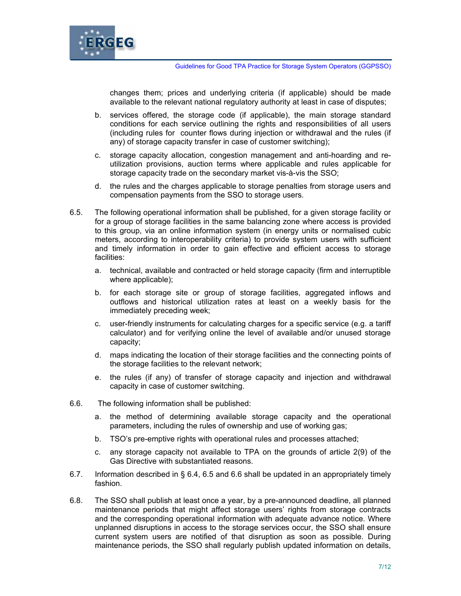

changes them; prices and underlying criteria (if applicable) should be made available to the relevant national regulatory authority at least in case of disputes;

- b. services offered, the storage code (if applicable), the main storage standard conditions for each service outlining the rights and responsibilities of all users (including rules for counter flows during injection or withdrawal and the rules (if any) of storage capacity transfer in case of customer switching);
- c. storage capacity allocation, congestion management and anti-hoarding and reutilization provisions, auction terms where applicable and rules applicable for storage capacity trade on the secondary market vis-à-vis the SSO;
- d. the rules and the charges applicable to storage penalties from storage users and compensation payments from the SSO to storage users.
- 6.5. The following operational information shall be published, for a given storage facility or for a group of storage facilities in the same balancing zone where access is provided to this group, via an online information system (in energy units or normalised cubic meters, according to interoperability criteria) to provide system users with sufficient and timely information in order to gain effective and efficient access to storage facilities:
	- a. technical, available and contracted or held storage capacity (firm and interruptible where applicable);
	- b. for each storage site or group of storage facilities, aggregated inflows and outflows and historical utilization rates at least on a weekly basis for the immediately preceding week;
	- c. user-friendly instruments for calculating charges for a specific service (e.g. a tariff calculator) and for verifying online the level of available and/or unused storage capacity;
	- d. maps indicating the location of their storage facilities and the connecting points of the storage facilities to the relevant network;
	- e. the rules (if any) of transfer of storage capacity and injection and withdrawal capacity in case of customer switching.
- 6.6. The following information shall be published:
	- a. the method of determining available storage capacity and the operational parameters, including the rules of ownership and use of working gas;
	- b. TSO's pre-emptive rights with operational rules and processes attached;
	- c. any storage capacity not available to TPA on the grounds of article 2(9) of the Gas Directive with substantiated reasons.
- 6.7. Information described in § 6.4, 6.5 and 6.6 shall be updated in an appropriately timely fashion.
- 6.8. The SSO shall publish at least once a year, by a pre-announced deadline, all planned maintenance periods that might affect storage users' rights from storage contracts and the corresponding operational information with adequate advance notice. Where unplanned disruptions in access to the storage services occur, the SSO shall ensure current system users are notified of that disruption as soon as possible. During maintenance periods, the SSO shall regularly publish updated information on details,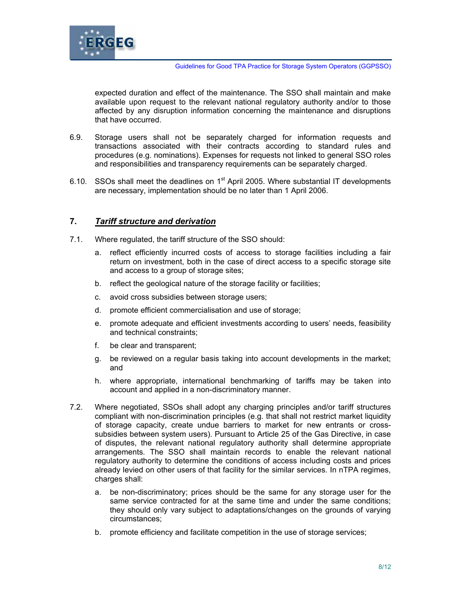

expected duration and effect of the maintenance. The SSO shall maintain and make available upon request to the relevant national regulatory authority and/or to those affected by any disruption information concerning the maintenance and disruptions that have occurred.

- 6.9. Storage users shall not be separately charged for information requests and transactions associated with their contracts according to standard rules and procedures (e.g. nominations). Expenses for requests not linked to general SSO roles and responsibilities and transparency requirements can be separately charged.
- 6.10. SSOs shall meet the deadlines on  $1<sup>st</sup>$  April 2005. Where substantial IT developments are necessary, implementation should be no later than 1 April 2006.

## **7.** *Tariff structure and derivation*

- 7.1. Where regulated, the tariff structure of the SSO should:
	- a. reflect efficiently incurred costs of access to storage facilities including a fair return on investment, both in the case of direct access to a specific storage site and access to a group of storage sites;
	- b. reflect the geological nature of the storage facility or facilities;
	- c. avoid cross subsidies between storage users;
	- d. promote efficient commercialisation and use of storage;
	- e. promote adequate and efficient investments according to users' needs, feasibility and technical constraints;
	- f. be clear and transparent;
	- g. be reviewed on a regular basis taking into account developments in the market; and
	- h. where appropriate, international benchmarking of tariffs may be taken into account and applied in a non-discriminatory manner.
- 7.2. Where negotiated, SSOs shall adopt any charging principles and/or tariff structures compliant with non-discrimination principles (e.g. that shall not restrict market liquidity of storage capacity, create undue barriers to market for new entrants or crosssubsidies between system users). Pursuant to Article 25 of the Gas Directive, in case of disputes, the relevant national regulatory authority shall determine appropriate arrangements. The SSO shall maintain records to enable the relevant national regulatory authority to determine the conditions of access including costs and prices already levied on other users of that facility for the similar services. In nTPA regimes, charges shall:
	- a. be non-discriminatory; prices should be the same for any storage user for the same service contracted for at the same time and under the same conditions; they should only vary subject to adaptations/changes on the grounds of varying circumstances;
	- b. promote efficiency and facilitate competition in the use of storage services;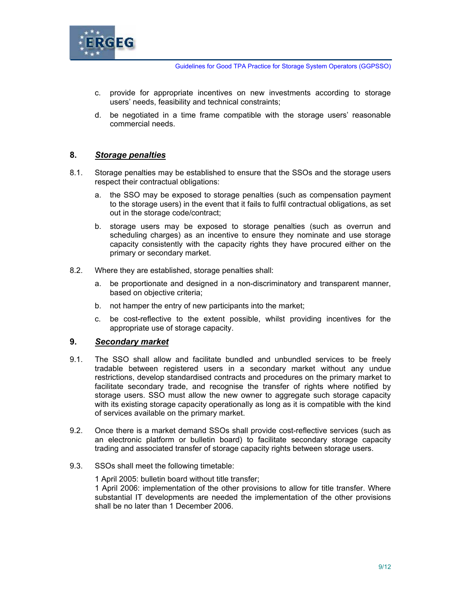

- c. provide for appropriate incentives on new investments according to storage users' needs, feasibility and technical constraints;
- d. be negotiated in a time frame compatible with the storage users' reasonable commercial needs.

## **8.** *Storage penalties*

- 8.1. Storage penalties may be established to ensure that the SSOs and the storage users respect their contractual obligations:
	- a. the SSO may be exposed to storage penalties (such as compensation payment to the storage users) in the event that it fails to fulfil contractual obligations, as set out in the storage code/contract;
	- b. storage users may be exposed to storage penalties (such as overrun and scheduling charges) as an incentive to ensure they nominate and use storage capacity consistently with the capacity rights they have procured either on the primary or secondary market.
- 8.2. Where they are established, storage penalties shall:
	- a. be proportionate and designed in a non-discriminatory and transparent manner, based on objective criteria;
	- b. not hamper the entry of new participants into the market;
	- c. be cost-reflective to the extent possible, whilst providing incentives for the appropriate use of storage capacity.

#### **9.** *Secondary market*

- 9.1. The SSO shall allow and facilitate bundled and unbundled services to be freely tradable between registered users in a secondary market without any undue restrictions, develop standardised contracts and procedures on the primary market to facilitate secondary trade, and recognise the transfer of rights where notified by storage users. SSO must allow the new owner to aggregate such storage capacity with its existing storage capacity operationally as long as it is compatible with the kind of services available on the primary market.
- 9.2. Once there is a market demand SSOs shall provide cost-reflective services (such as an electronic platform or bulletin board) to facilitate secondary storage capacity trading and associated transfer of storage capacity rights between storage users.
- 9.3. SSOs shall meet the following timetable:

1 April 2005: bulletin board without title transfer;

1 April 2006: implementation of the other provisions to allow for title transfer. Where substantial IT developments are needed the implementation of the other provisions shall be no later than 1 December 2006.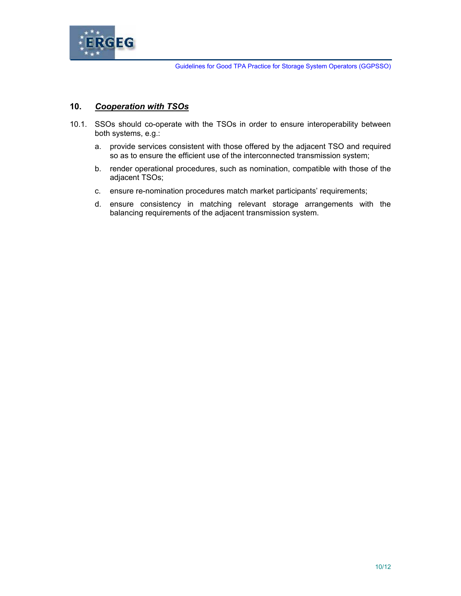

# **10.** *Cooperation with TSOs*

- 10.1. SSOs should co-operate with the TSOs in order to ensure interoperability between both systems, e.g.:
	- a. provide services consistent with those offered by the adjacent TSO and required so as to ensure the efficient use of the interconnected transmission system;
	- b. render operational procedures, such as nomination, compatible with those of the adjacent TSOs;
	- c. ensure re-nomination procedures match market participants' requirements;
	- d. ensure consistency in matching relevant storage arrangements with the balancing requirements of the adjacent transmission system.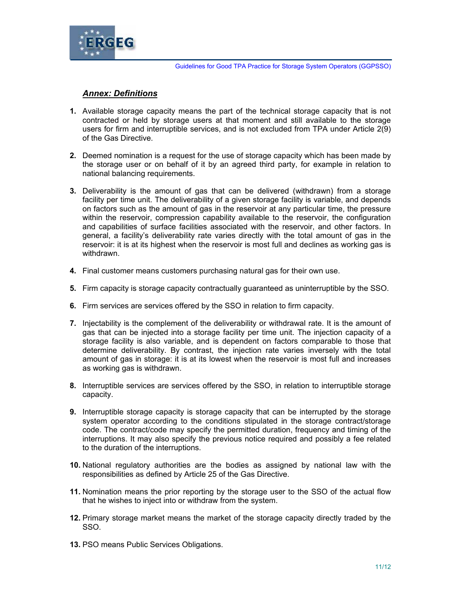

# *Annex: Definitions*

- **1.** Available storage capacity means the part of the technical storage capacity that is not contracted or held by storage users at that moment and still available to the storage users for firm and interruptible services, and is not excluded from TPA under Article 2(9) of the Gas Directive.
- **2.** Deemed nomination is a request for the use of storage capacity which has been made by the storage user or on behalf of it by an agreed third party, for example in relation to national balancing requirements.
- **3.** Deliverability is the amount of gas that can be delivered (withdrawn) from a storage facility per time unit. The deliverability of a given storage facility is variable, and depends on factors such as the amount of gas in the reservoir at any particular time, the pressure within the reservoir, compression capability available to the reservoir, the configuration and capabilities of surface facilities associated with the reservoir, and other factors. In general, a facility's deliverability rate varies directly with the total amount of gas in the reservoir: it is at its highest when the reservoir is most full and declines as working gas is withdrawn.
- **4.** Final customer means customers purchasing natural gas for their own use.
- **5.** Firm capacity is storage capacity contractually guaranteed as uninterruptible by the SSO.
- **6.** Firm services are services offered by the SSO in relation to firm capacity.
- **7.** Injectability is the complement of the deliverability or withdrawal rate. It is the amount of gas that can be injected into a storage facility per time unit. The injection capacity of a storage facility is also variable, and is dependent on factors comparable to those that determine deliverability. By contrast, the injection rate varies inversely with the total amount of gas in storage: it is at its lowest when the reservoir is most full and increases as working gas is withdrawn.
- **8.** Interruptible services are services offered by the SSO, in relation to interruptible storage capacity.
- **9.** Interruptible storage capacity is storage capacity that can be interrupted by the storage system operator according to the conditions stipulated in the storage contract/storage code. The contract/code may specify the permitted duration, frequency and timing of the interruptions. It may also specify the previous notice required and possibly a fee related to the duration of the interruptions.
- **10.** National regulatory authorities are the bodies as assigned by national law with the responsibilities as defined by Article 25 of the Gas Directive.
- **11.** Nomination means the prior reporting by the storage user to the SSO of the actual flow that he wishes to inject into or withdraw from the system.
- **12.** Primary storage market means the market of the storage capacity directly traded by the SSO.
- **13.** PSO means Public Services Obligations.